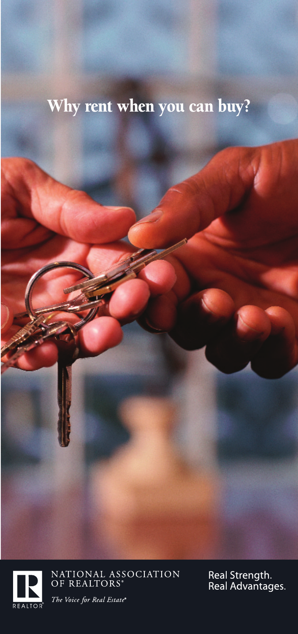## Why rent when you can buy?



NATIONAL ASSOCIATION<br>OF REALTORS®

Real Strength.<br>Real Advantages.

The Voice for Real Estate®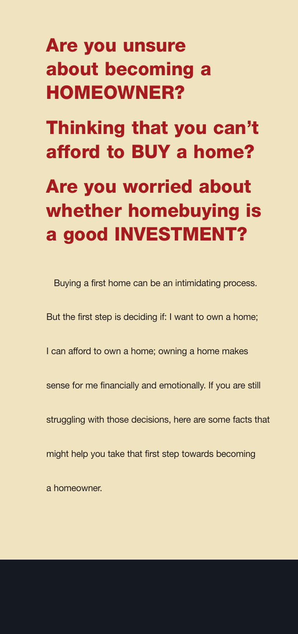# **Are you unsure about becoming a HOMEOWNER?**

**Thinking that you can't afford to BUY a home?**

# **Are you worried about whether homebuying is a good INVESTMENT?**

Buying a first home can be an intimidating process.

But the first step is deciding if: I want to own a home;

I can afford to own a home; owning a home makes

sense for me financially and emotionally. If you are still

struggling with those decisions, here are some facts that

might help you take that first step towards becoming

a homeowner.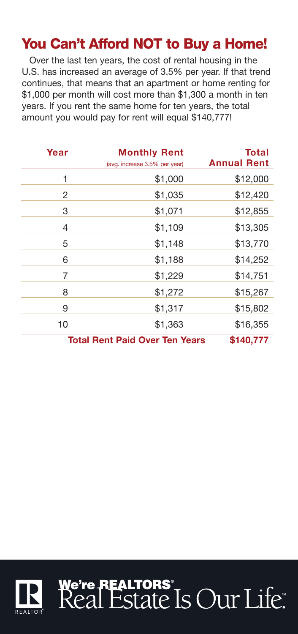### **You Can't Afford NOT to Buy a Home!**

Over the last ten years, the cost of rental housing in the U.S. has increased an average of 3.5% per year. If that trend continues, that means that an apartment or home renting for \$1,000 per month will cost more than \$1,300 a month in ten years. If you rent the same home for ten years, the total amount you would pay for rent will equal \$140,777!

| Year                                  | <b>Monthly Rent</b><br>(avg. increase 3.5% per year) | Total<br><b>Annual Rent</b> |
|---------------------------------------|------------------------------------------------------|-----------------------------|
| 1                                     | \$1,000                                              | \$12,000                    |
| 2                                     | \$1,035                                              | \$12,420                    |
| 3                                     | \$1,071                                              | \$12,855                    |
| 4                                     | \$1,109                                              | \$13,305                    |
| 5                                     | \$1,148                                              | \$13,770                    |
| 6                                     | \$1,188                                              | \$14,252                    |
| 7                                     | \$1,229                                              | \$14,751                    |
| 8                                     | \$1,272                                              | \$15,267                    |
| 9                                     | \$1,317                                              | \$15,802                    |
| 10                                    | \$1,363                                              | \$16,355                    |
| <b>Total Rent Paid Over Ten Years</b> |                                                      | \$140,777                   |

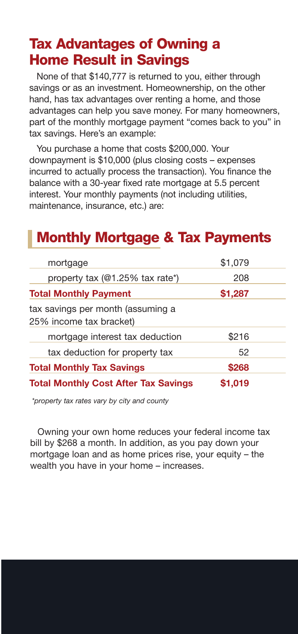#### **Tax Advantages of Owning a Home Result in Savings**

None of that \$140,777 is returned to you, either through savings or as an investment. Homeownership, on the other hand, has tax advantages over renting a home, and those advantages can help you save money. For many homeowners, part of the monthly mortgage payment "comes back to you" in tax savings. Here's an example:

You purchase a home that costs \$200,000. Your downpayment is \$10,000 (plus closing costs – expenses incurred to actually process the transaction). You finance the balance with a 30-year fixed rate mortgage at 5.5 percent interest. Your monthly payments (not including utilities, maintenance, insurance, etc.) are:

#### **Monthly Mortgage & Tax Payments**

| mortgage                                                     | \$1,079 |  |
|--------------------------------------------------------------|---------|--|
| property tax (@1.25% tax rate*)                              | 208     |  |
| <b>Total Monthly Payment</b>                                 | \$1,287 |  |
| tax savings per month (assuming a<br>25% income tax bracket) |         |  |
| mortgage interest tax deduction                              | \$216   |  |
| tax deduction for property tax                               | 52      |  |
| <b>Total Monthly Tax Savings</b>                             | \$268   |  |
| <b>Total Monthly Cost After Tax Savings</b>                  | \$1,019 |  |

*\*property tax rates vary by city and county*

Owning your own home reduces your federal income tax bill by \$268 a month. In addition, as you pay down your mortgage loan and as home prices rise, your equity – the wealth you have in your home – increases.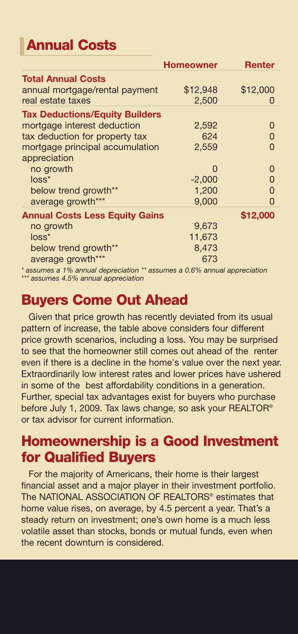## **Annual Costs**

|                                       | <b>Homeowner</b> | <b>Renter</b> |
|---------------------------------------|------------------|---------------|
| <b>Total Annual Costs</b>             |                  |               |
| annual mortgage/rental payment        | \$12,948         | \$12,000      |
| real estate taxes                     | 2,500            | $\Omega$      |
| <b>Tax Deductions/Equity Builders</b> |                  |               |
| mortgage interest deduction           | 2,592            | 0             |
| tax deduction for property tax        | 624              | 0             |
| mortgage principal accumulation       | 2,559            | $\Omega$      |
| appreciation                          |                  |               |
| no growth                             | O                | 0             |
| $loss^*$                              | $-2,000$         | 0             |
| below trend growth**                  | 1,200            | 0             |
| average growth***                     | 9.000            | U             |
| <b>Annual Costs Less Equity Gains</b> |                  | \$12,000      |
| no growth                             | 9,673            |               |
| $loss^*$                              | 11,673           |               |
| below trend growth**                  | 8.473            |               |
| average growth***                     | 673              |               |

*\* assumes a 1% annual depreciation \*\* assumes a 0.6% annual appreciation \*\*\* assumes 4.5% annual appreciation*

#### **Buyers Come Out Ahead**

Given that price growth has recently deviated from its usual pattern of increase, the table above considers four different price growth scenarios, including a loss. You may be surprised to see that the homeowner still comes out ahead of the renter even if there is a decline in the home's value over the next year. Extraordinarily low interest rates and lower prices have ushered in some of the best affordability conditions in a generation. Further, special tax advantages exist for buyers who purchase before July 1, 2009. Tax laws change, so ask your REALTOR® or tax advisor for current information.

### **Homeownership is a Good Investment for Qualified Buyers**

For the majority of Americans, their home is their largest financial asset and a major player in their investment portfolio. The NATIONAL ASSOCIATION OF REALTORS<sup>®</sup> estimates that home value rises, on average, by 4.5 percent a year. That's a steady return on investment; one's own home is a much less volatile asset than stocks, bonds or mutual funds, even when the recent downturn is considered.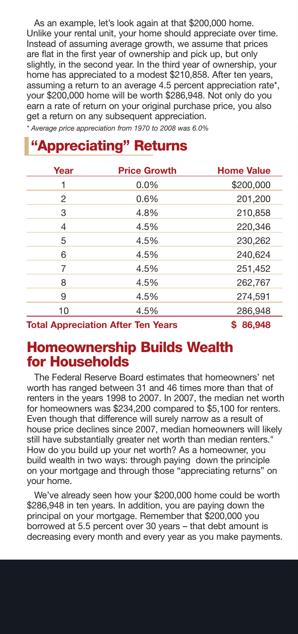As an example, let's look again at that \$200,000 home. Unlike your rental unit, your home should appreciate over time. Instead of assuming average growth, we assume that prices are flat in the first year of ownership and pick up, but only slightly, in the second year. In the third year of ownership, your home has appreciated to a modest \$210,858. After ten years, assuming a return to an average 4.5 percent appreciation rate\*, your \$200,000 home will be worth \$286,948. Not only do you earn a rate of return on your original purchase price, you also get a return on any subsequent appreciation.

*\* Average price appreciation from 1970 to 2008 was 6.0%*

#### **"Appreciating" Returns**

| Year | <b>Price Growth</b> | <b>Home Value</b> |
|------|---------------------|-------------------|
| 1    | $0.0\%$             | \$200,000         |
| 2    | 0.6%                | 201,200           |
| 3    | 4.8%                | 210,858           |
| 4    | 4.5%                | 220,346           |
| 5    | 4.5%                | 230,262           |
| 6    | 4.5%                | 240,624           |
| 7    | 4.5%                | 251,452           |
| 8    | 4.5%                | 262,767           |
| 9    | 4.5%                | 274,591           |
| 10   | 4.5%                | 286,948           |
|      |                     | .                 |

**Total Appreciation After Ten Years \$ 86,948** 

#### **Homeownership Builds Wealth for Households**

The Federal Reserve Board estimates that homeowners' net worth has ranged between 31 and 46 times more than that of renters in the years 1998 to 2007. In 2007, the median net worth for homeowners was \$234,200 compared to \$5,100 for renters. Even though that difference will surely narrow as a result of house price declines since 2007, median homeowners will likely still have substantially greater net worth than median renters." How do you build up your net worth? As a homeowner, you build wealth in two ways: through paying down the principle on your mortgage and through those "appreciating returns" on your home.

We've already seen how your \$200,000 home could be worth \$286,948 in ten years. In addition, you are paying down the principal on your mortgage. Remember that \$200,000 you borrowed at 5.5 percent over 30 years – that debt amount is decreasing every month and every year as you make payments.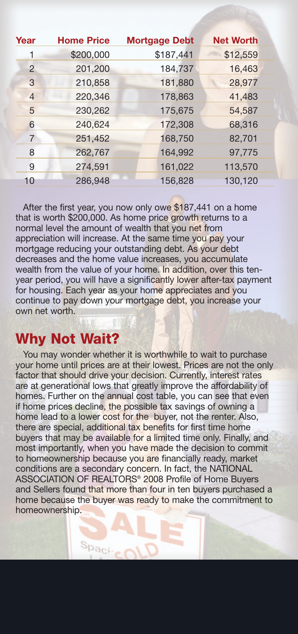| Year           | <b>Home Price</b> | <b>Mortgage Debt</b> | <b>Net Worth</b> |
|----------------|-------------------|----------------------|------------------|
| 1              | \$200,000         | \$187,441            | \$12,559         |
| 2              | 201,200           | 184,737              | 16,463           |
| 3              | 210,858           | 181,880              | 28,977           |
| $\overline{4}$ | 220,346           | 178,863              | 41,483           |
| 5              | 230,262           | 175,675              | 54,587           |
| 6              | 240,624           | 172,308              | 68,316           |
| $\overline{7}$ | 251,452           | 168,750              | 82,701           |
| 8              | 262,767           | 164,992              | 97,775           |
| 9              | 274,591           | 161,022              | 113,570          |
| 10             | 286,948           | 156,828              | 130,120          |

After the first year, you now only owe  $$187,441$  on a home that is worth \$200,000. As home price growth returns to a normal level the amount of wealth that you net from appreciation will increase. At the same time you pay your mortgage reducing your outstanding debt. As your debt decreases and the home value increases, you accumulate wealth from the value of your home. In addition, over this tenyear period, you will have a significantly lower after-tax payment for housing. Each year as your home appreciates and you continue to pay down your mortgage debt, you increase your own net worth.

#### **Why Not Wait?**

 $S_{\text{Pac}}$ 

You may wonder whether it is worthwhile to wait to purchase your home until prices are at their lowest. Prices are not the only factor that should drive your decision. Currently, interest rates are at generational lows that greatly improve the affordability of homes. Further on the annual cost table, you can see that even if home prices decline, the possible tax savings of owning a home lead to a lower cost for the buyer, not the renter. Also, there are special, additional tax benefits for first time home buyers that may be available for a limited time only. Finally, and most importantly, when you have made the decision to commit to homeownership because you are financially ready, market conditions are a secondary concern. In fact, the NATIONAL ASSOCIATION OF REALTORS® 2008 Profile of Home Buyers and Sellers found that more than four in ten buyers purchased a home because the buyer was ready to make the commitment to homeownership.